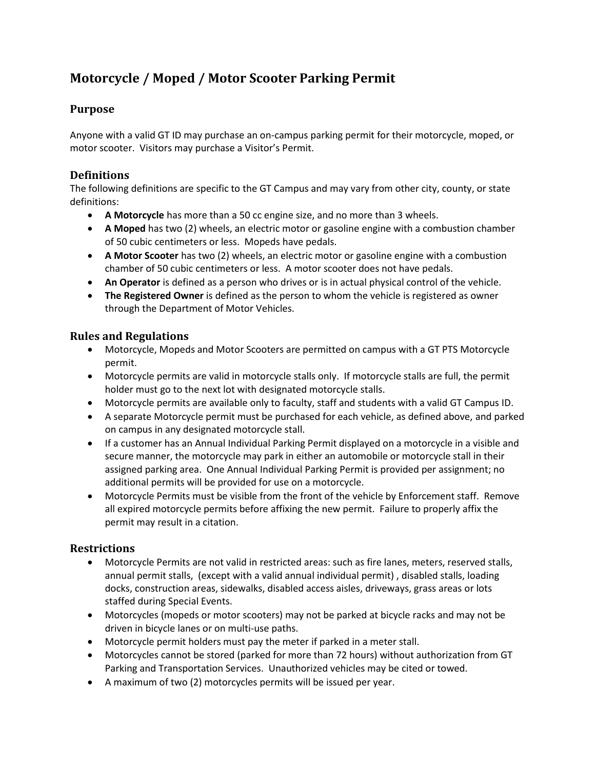# **Motorcycle / Moped / Motor Scooter Parking Permit**

### **Purpose**

Anyone with a valid GT ID may purchase an on-campus parking permit for their motorcycle, moped, or motor scooter. Visitors may purchase a Visitor's Permit.

## **Definitions**

The following definitions are specific to the GT Campus and may vary from other city, county, or state definitions:

- **A Motorcycle** has more than a 50 cc engine size, and no more than 3 wheels.
- **A Moped** has two (2) wheels, an electric motor or gasoline engine with a combustion chamber of 50 cubic centimeters or less. Mopeds have pedals.
- **A Motor Scooter** has two (2) wheels, an electric motor or gasoline engine with a combustion chamber of 50 cubic centimeters or less. A motor scooter does not have pedals.
- **An Operator** is defined as a person who drives or is in actual physical control of the vehicle.
- **The Registered Owner** is defined as the person to whom the vehicle is registered as owner through the Department of Motor Vehicles.

#### **Rules and Regulations**

- Motorcycle, Mopeds and Motor Scooters are permitted on campus with a GT PTS Motorcycle permit.
- Motorcycle permits are valid in motorcycle stalls only. If motorcycle stalls are full, the permit holder must go to the next lot with designated motorcycle stalls.
- Motorcycle permits are available only to faculty, staff and students with a valid GT Campus ID.
- A separate Motorcycle permit must be purchased for each vehicle, as defined above, and parked on campus in any designated motorcycle stall.
- If a customer has an Annual Individual Parking Permit displayed on a motorcycle in a visible and secure manner, the motorcycle may park in either an automobile or motorcycle stall in their assigned parking area. One Annual Individual Parking Permit is provided per assignment; no additional permits will be provided for use on a motorcycle.
- Motorcycle Permits must be visible from the front of the vehicle by Enforcement staff. Remove all expired motorcycle permits before affixing the new permit. Failure to properly affix the permit may result in a citation.

#### **Restrictions**

- Motorcycle Permits are not valid in restricted areas: such as fire lanes, meters, reserved stalls, annual permit stalls, (except with a valid annual individual permit) , disabled stalls, loading docks, construction areas, sidewalks, disabled access aisles, driveways, grass areas or lots staffed during Special Events.
- Motorcycles (mopeds or motor scooters) may not be parked at bicycle racks and may not be driven in bicycle lanes or on multi-use paths.
- Motorcycle permit holders must pay the meter if parked in a meter stall.
- Motorcycles cannot be stored (parked for more than 72 hours) without authorization from GT Parking and Transportation Services. Unauthorized vehicles may be cited or towed.
- A maximum of two (2) motorcycles permits will be issued per year.